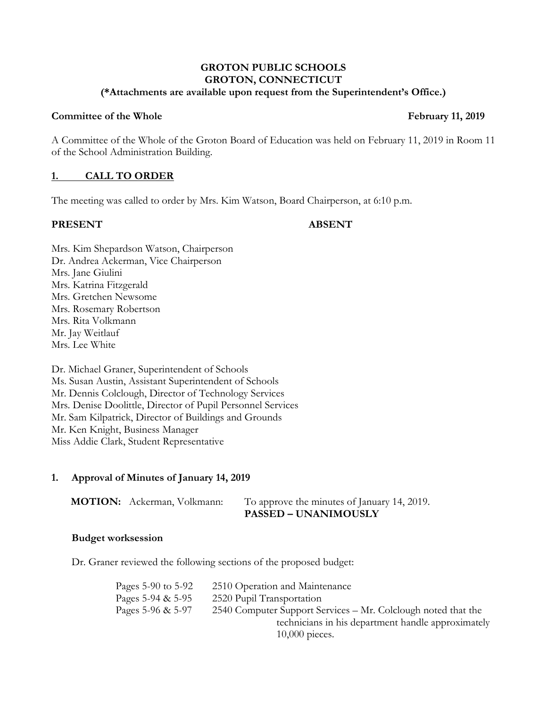#### **GROTON PUBLIC SCHOOLS GROTON, CONNECTICUT (\*Attachments are available upon request from the Superintendent's Office.)**

### **Committee of the Whole February 11, 2019**

A Committee of the Whole of the Groton Board of Education was held on February 11, 2019 in Room 11 of the School Administration Building.

### **1. CALL TO ORDER**

The meeting was called to order by Mrs. Kim Watson, Board Chairperson, at 6:10 p.m.

### **PRESENT ABSENT**

Mrs. Kim Shepardson Watson, Chairperson Dr. Andrea Ackerman, Vice Chairperson Mrs. Jane Giulini Mrs. Katrina Fitzgerald Mrs. Gretchen Newsome Mrs. Rosemary Robertson Mrs. Rita Volkmann Mr. Jay Weitlauf Mrs. Lee White

Dr. Michael Graner, Superintendent of Schools Ms. Susan Austin, Assistant Superintendent of Schools Mr. Dennis Colclough, Director of Technology Services Mrs. Denise Doolittle, Director of Pupil Personnel Services Mr. Sam Kilpatrick, Director of Buildings and Grounds Mr. Ken Knight, Business Manager Miss Addie Clark, Student Representative

### **1. Approval of Minutes of January 14, 2019**

| <b>MOTION:</b> Ackerman, Volkmann: | To approve the minutes of January 14, 2019. |
|------------------------------------|---------------------------------------------|
|                                    | <b>PASSED – UNANIMOUSLY</b>                 |

### **Budget worksession**

Dr. Graner reviewed the following sections of the proposed budget:

| Pages 5-90 to 5-92 | 2510 Operation and Maintenance                                |  |
|--------------------|---------------------------------------------------------------|--|
| Pages 5-94 & 5-95  | 2520 Pupil Transportation                                     |  |
| Pages 5-96 & 5-97  | 2540 Computer Support Services – Mr. Colclough noted that the |  |
|                    | technicians in his department handle approximately            |  |
|                    | $10,000$ pieces.                                              |  |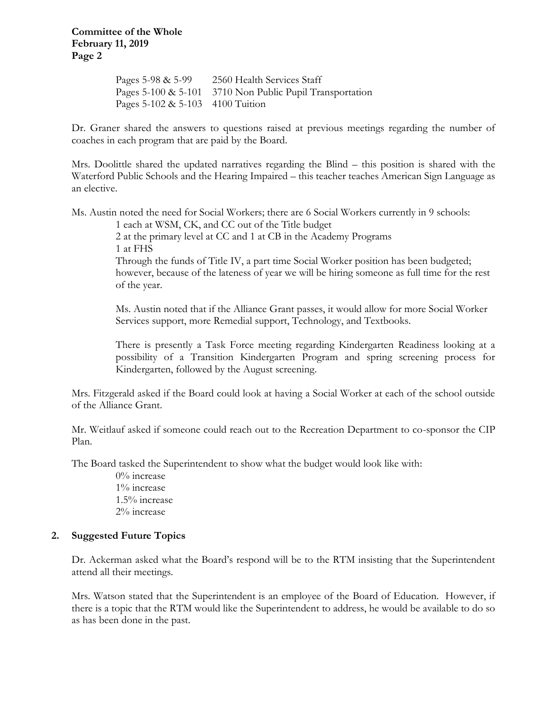**Committee of the Whole February 11, 2019 Page 2**

> Pages 5-98 & 5-99 2560 Health Services Staff Pages 5-100 & 5-101 3710 Non Public Pupil Transportation Pages 5-102 & 5-103 4100 Tuition

Dr. Graner shared the answers to questions raised at previous meetings regarding the number of coaches in each program that are paid by the Board.

Mrs. Doolittle shared the updated narratives regarding the Blind – this position is shared with the Waterford Public Schools and the Hearing Impaired – this teacher teaches American Sign Language as an elective.

Ms. Austin noted the need for Social Workers; there are 6 Social Workers currently in 9 schools:

1 each at WSM, CK, and CC out of the Title budget

2 at the primary level at CC and 1 at CB in the Academy Programs 1 at FHS

Through the funds of Title IV, a part time Social Worker position has been budgeted; however, because of the lateness of year we will be hiring someone as full time for the rest of the year.

Ms. Austin noted that if the Alliance Grant passes, it would allow for more Social Worker Services support, more Remedial support, Technology, and Textbooks.

There is presently a Task Force meeting regarding Kindergarten Readiness looking at a possibility of a Transition Kindergarten Program and spring screening process for Kindergarten, followed by the August screening.

Mrs. Fitzgerald asked if the Board could look at having a Social Worker at each of the school outside of the Alliance Grant.

Mr. Weitlauf asked if someone could reach out to the Recreation Department to co-sponsor the CIP Plan.

The Board tasked the Superintendent to show what the budget would look like with:

0% increase 1% increase 1.5% increase 2% increase

## **2. Suggested Future Topics**

Dr. Ackerman asked what the Board's respond will be to the RTM insisting that the Superintendent attend all their meetings.

Mrs. Watson stated that the Superintendent is an employee of the Board of Education. However, if there is a topic that the RTM would like the Superintendent to address, he would be available to do so as has been done in the past.